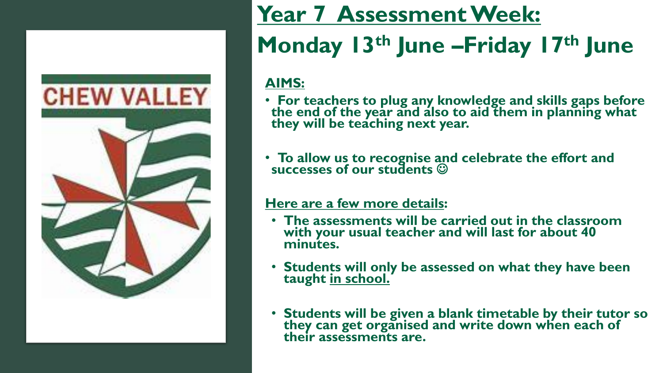

## **Year 7 Assessment Week:**

## **Monday 13th June –Friday 17th June**

### **AIMS:**

- **For teachers to plug any knowledge and skills gaps before the end of the year and also to aid them in planning what they will be teaching next year.**
- **To allow us to recognise and celebrate the effort and successes of our students** ☺

#### **Here are a few more details:**

- **The assessments will be carried out in the classroom with your usual teacher and will last for about 40 minutes.**
- **Students will only be assessed on what they have been taught in school.**
- **Students will be given a blank timetable by their tutor so they can get organised and write down when each of their assessments are.**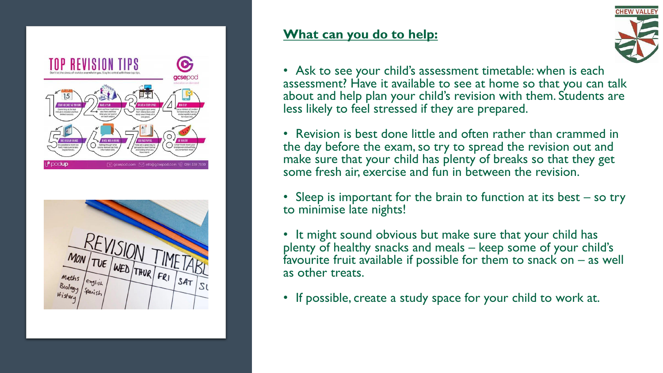



#### **What can you do to help:**



• Ask to see your child's assessment timetable: when is each assessment? Have it available to see at home so that you can talk about and help plan your child's revision with them. Students are less likely to feel stressed if they are prepared.

• Revision is best done little and often rather than crammed in the day before the exam, so try to spread the revision out and make sure that your child has plenty of breaks so that they get some fresh air, exercise and fun in between the revision.

• Sleep is important for the brain to function at its best – so try to minimise late nights!

• It might sound obvious but make sure that your child has plenty of healthy snacks and meals – keep some of your child's favourite fruit available if possible for them to snack on  $-$  as well as other treats.

• If possible, create a study space for your child to work at.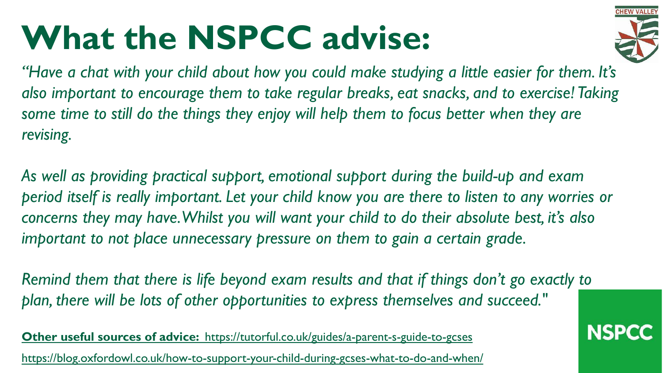# **What the NSPCC advise:**



*"Have a chat with your child about how you could make studying a little easier for them. It's also important to encourage them to take regular breaks, eat snacks, and to exercise! Taking some time to still do the things they enjoy will help them to focus better when they are revising.*

*As well as providing practical support, emotional support during the build-up and exam period itself is really important. Let your child know you are there to listen to any worries or concerns they may have. Whilst you will want your child to do their absolute best, it's also important to not place unnecessary pressure on them to gain a certain grade.*

*Remind them that there is life beyond exam results and that if things don't go exactly to plan, there will be lots of other opportunities to express themselves and succeed."*

**Other useful sources of advice:** <https://tutorful.co.uk/guides/a-parent-s-guide-to-gcses> <https://blog.oxfordowl.co.uk/how-to-support-your-child-during-gcses-what-to-do-and-when/>

### **NSPCC**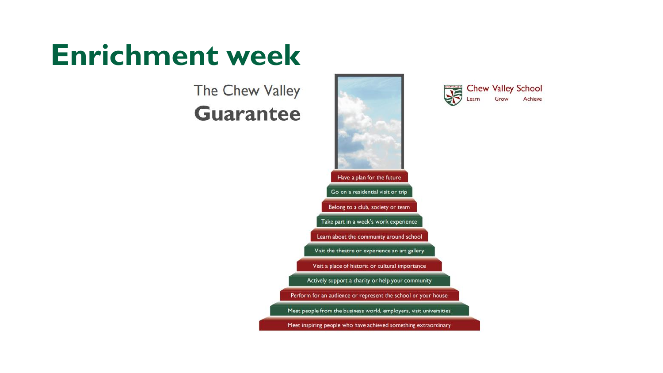## **Enrichment week**

### The Chew Valley **Guarantee**



JE

**Chew Valley School** 

Grow

Achieve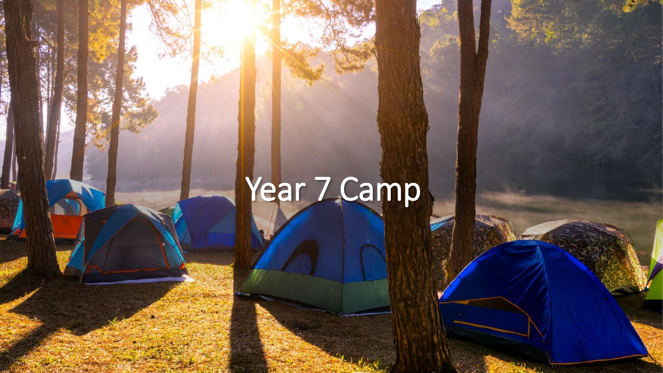# Year 7 Camp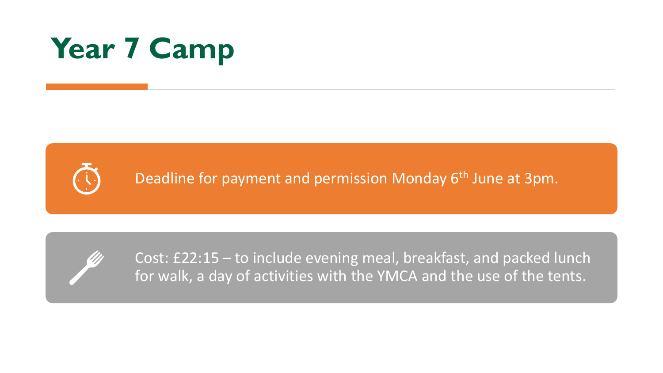## **Year 7 Camp**



Deadline for payment and permission Monday 6<sup>th</sup> June at 3pm.



Cost: £22:15 – to include evening meal, breakfast, and packed lunch for walk, a day of activities with the YMCA and the use of the tents.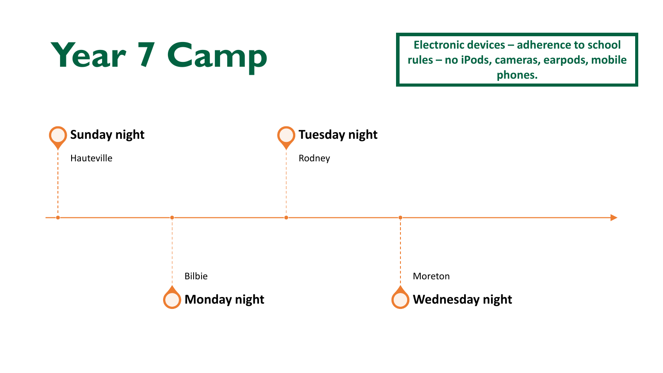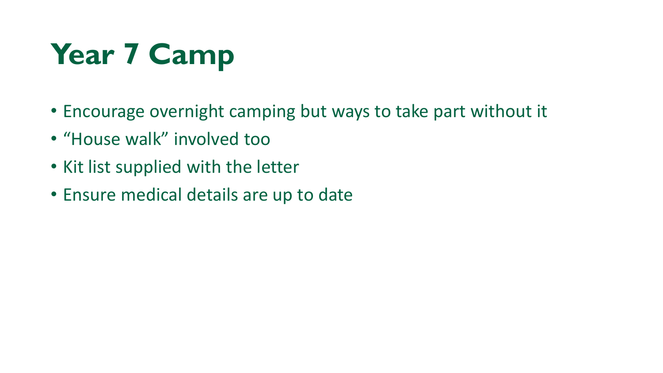## **Year 7 Camp**

- Encourage overnight camping but ways to take part without it
- "House walk" involved too
- Kit list supplied with the letter
- Ensure medical details are up to date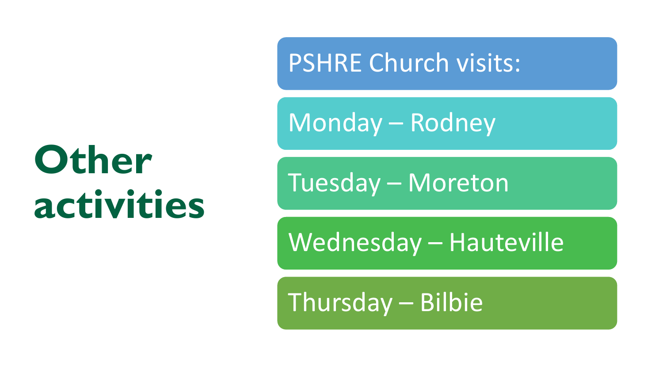# **Other activities**

PSHRE Church visits:

Monday – Rodney

Tuesday – Moreton

Wednesday – Hauteville

Thursday – Bilbie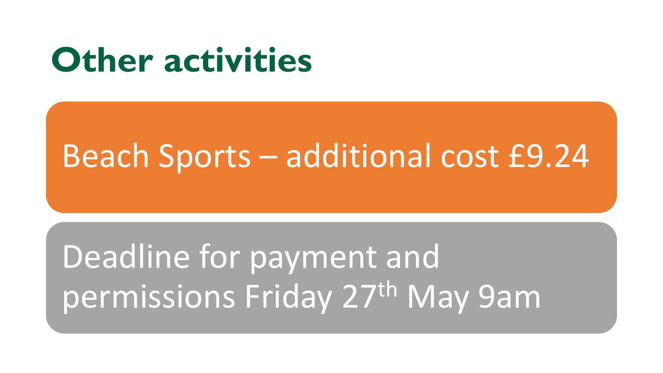## **Other activities**

## Beach Sports – additional cost £9.24

## Deadline for payment and permissions Friday 27th May 9am